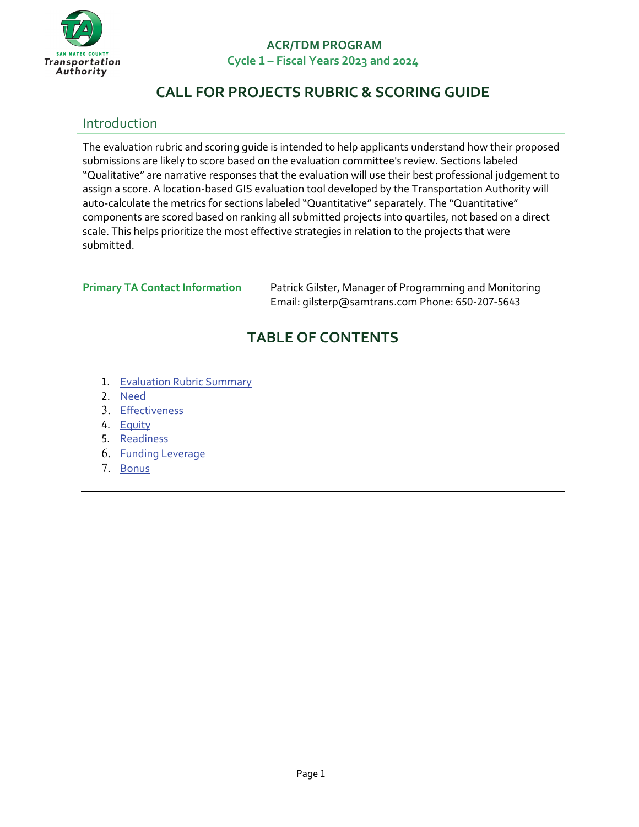

# **CALL FOR PROJECTS RUBRIC & SCORING GUIDE**

## Introduction

The evaluation rubric and scoring guide is intended to help applicants understand how their proposed submissions are likely to score based on the evaluation committee's review. Sections labeled "Qualitative" are narrative responses that the evaluation will use their best professional judgement to assign a score. A location-based GIS evaluation tool developed by the Transportation Authority will auto-calculate the metrics for sections labeled "Quantitative" separately. The "Quantitative" components are scored based on ranking all submitted projects into quartiles, not based on a direct scale. This helps prioritize the most effective strategies in relation to the projects that were submitted.

**Primary TA Contact Information Patrick Gilster, Manager of Programming and Monitoring** Email: [gilsterp@samtrans.com](mailto:gilsterp@samtrans.com) Phone: 650-207-5643

# **TABLE OF CONTENTS**

- 1. [Evaluation](#page-0-0) Rubric Summary
- 2. Need
- 3. [Effectiveness](#page-8-0)
- 4. [Equity](#page-9-0)
- 5. [Readiness](#page-14-0)
- 6. [Funding Leverage](#page-15-0)
- <span id="page-0-0"></span>7. [Bonus](#page-15-1)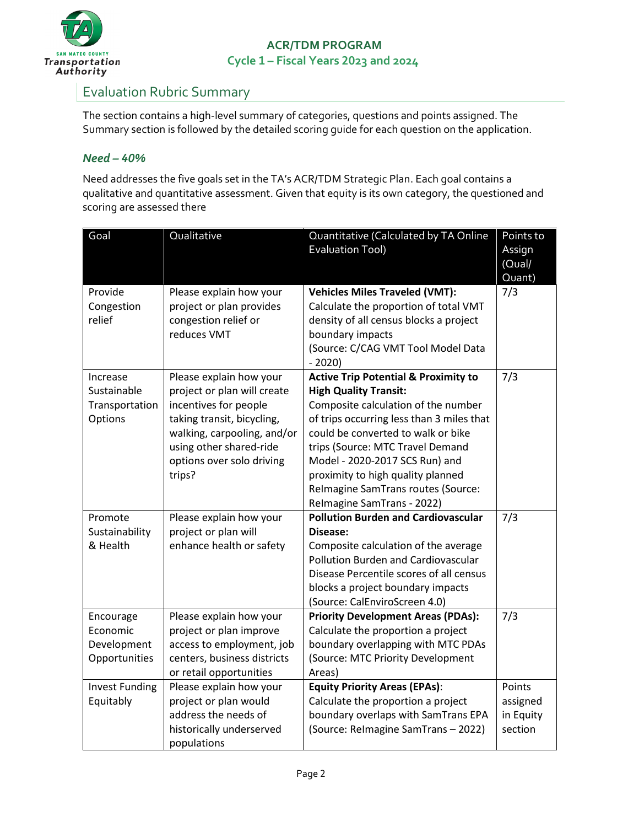

## Evaluation Rubric Summary

The section contains a high-level summary of categories, questions and points assigned. The Summary section is followed by the detailed scoring guide for each question on the application.

#### *Need – 40%*

Need addresses the five goals set in the TA's ACR/TDM Strategic Plan. Each goal contains a qualitative and quantitative assessment. Given that equity is its own category, the questioned and scoring are assessed there

| Goal                                                  | Qualitative                                                                                                                                                                                                    | Quantitative (Calculated by TA Online<br><b>Evaluation Tool)</b>                                                                                                                                                                                                                                                                                                                         | Points to<br>Assign<br>(Qual)<br>Quant)    |
|-------------------------------------------------------|----------------------------------------------------------------------------------------------------------------------------------------------------------------------------------------------------------------|------------------------------------------------------------------------------------------------------------------------------------------------------------------------------------------------------------------------------------------------------------------------------------------------------------------------------------------------------------------------------------------|--------------------------------------------|
| Provide<br>Congestion<br>relief                       | Please explain how your<br>project or plan provides<br>congestion relief or<br>reduces VMT                                                                                                                     | <b>Vehicles Miles Traveled (VMT):</b><br>Calculate the proportion of total VMT<br>density of all census blocks a project<br>boundary impacts<br>(Source: C/CAG VMT Tool Model Data<br>$-2020$                                                                                                                                                                                            | 7/3                                        |
| Increase<br>Sustainable<br>Transportation<br>Options  | Please explain how your<br>project or plan will create<br>incentives for people<br>taking transit, bicycling,<br>walking, carpooling, and/or<br>using other shared-ride<br>options over solo driving<br>trips? | <b>Active Trip Potential &amp; Proximity to</b><br><b>High Quality Transit:</b><br>Composite calculation of the number<br>of trips occurring less than 3 miles that<br>could be converted to walk or bike<br>trips (Source: MTC Travel Demand<br>Model - 2020-2017 SCS Run) and<br>proximity to high quality planned<br>Relmagine SamTrans routes (Source:<br>Relmagine SamTrans - 2022) | 7/3                                        |
| Promote<br>Sustainability<br>& Health                 | Please explain how your<br>project or plan will<br>enhance health or safety                                                                                                                                    | <b>Pollution Burden and Cardiovascular</b><br>Disease:<br>Composite calculation of the average<br>Pollution Burden and Cardiovascular<br>Disease Percentile scores of all census<br>blocks a project boundary impacts<br>(Source: CalEnviroScreen 4.0)                                                                                                                                   | 7/3                                        |
| Encourage<br>Economic<br>Development<br>Opportunities | Please explain how your<br>project or plan improve<br>access to employment, job<br>centers, business districts<br>or retail opportunities                                                                      | <b>Priority Development Areas (PDAs):</b><br>Calculate the proportion a project<br>boundary overlapping with MTC PDAs<br>(Source: MTC Priority Development<br>Areas)                                                                                                                                                                                                                     | 7/3                                        |
| <b>Invest Funding</b><br>Equitably                    | Please explain how your<br>project or plan would<br>address the needs of<br>historically underserved<br>populations                                                                                            | <b>Equity Priority Areas (EPAs):</b><br>Calculate the proportion a project<br>boundary overlaps with SamTrans EPA<br>(Source: Relmagine SamTrans - 2022)                                                                                                                                                                                                                                 | Points<br>assigned<br>in Equity<br>section |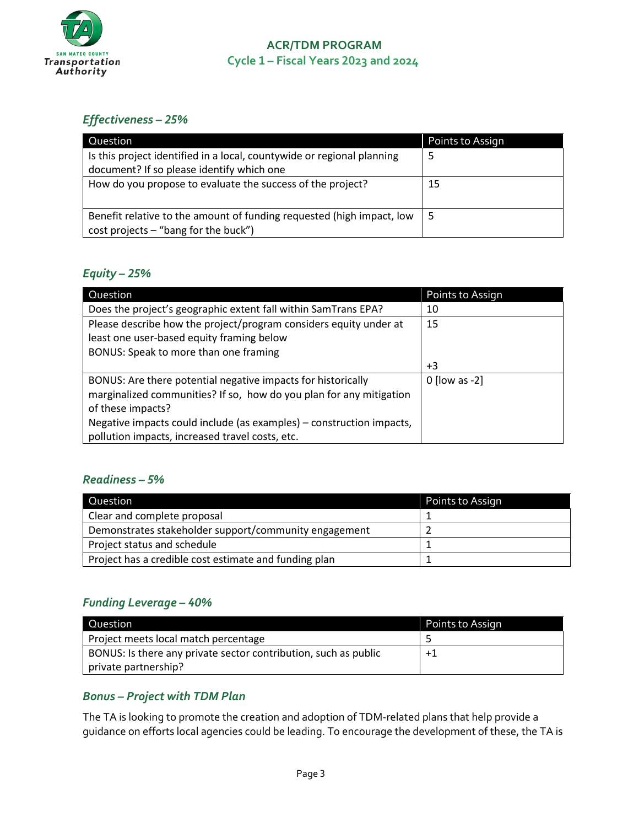

#### *Effectiveness – 25%*

| Question                                                               | Points to Assign |
|------------------------------------------------------------------------|------------------|
| Is this project identified in a local, countywide or regional planning | 5                |
| document? If so please identify which one                              |                  |
| How do you propose to evaluate the success of the project?             | 15               |
|                                                                        |                  |
| Benefit relative to the amount of funding requested (high impact, low  | - 5              |
| cost projects - "bang for the buck")                                   |                  |

#### *Equity – 25%*

| Question                                                             | Points to Assign |
|----------------------------------------------------------------------|------------------|
| Does the project's geographic extent fall within SamTrans EPA?       | 10               |
| Please describe how the project/program considers equity under at    | 15               |
| least one user-based equity framing below                            |                  |
| BONUS: Speak to more than one framing                                |                  |
|                                                                      | $+3$             |
| BONUS: Are there potential negative impacts for historically         | $0$ [low as -2]  |
| marginalized communities? If so, how do you plan for any mitigation  |                  |
| of these impacts?                                                    |                  |
| Negative impacts could include (as examples) – construction impacts, |                  |
| pollution impacts, increased travel costs, etc.                      |                  |

#### *Readiness – 5%*

| Question                                              | Points to Assign |
|-------------------------------------------------------|------------------|
| Clear and complete proposal                           |                  |
| Demonstrates stakeholder support/community engagement |                  |
| Project status and schedule                           |                  |
| Project has a credible cost estimate and funding plan |                  |

#### *Funding Leverage – 40%*

| Question                                                        | Points to Assign |
|-----------------------------------------------------------------|------------------|
| Project meets local match percentage                            |                  |
| BONUS: Is there any private sector contribution, such as public | $+1$             |
| private partnership?                                            |                  |

#### *Bonus – Project with TDM Plan*

The TA is looking to promote the creation and adoption of TDM-related plans that help provide a guidance on efforts local agencies could be leading. To encourage the development of these, the TA is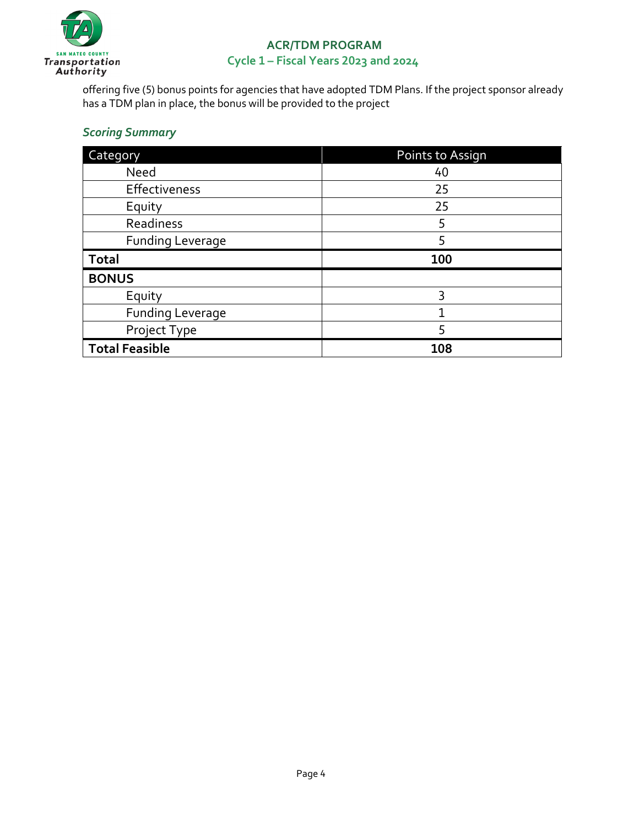

offering five (5) bonus points for agencies that have adopted TDM Plans. If the project sponsor already has a TDM plan in place, the bonus will be provided to the project

#### *Scoring Summary*

| Category                | Points to Assign |
|-------------------------|------------------|
| Need                    | 40               |
| Effectiveness           | 25               |
| Equity                  | 25               |
| Readiness               | 5                |
| <b>Funding Leverage</b> | 5                |
|                         |                  |
| <b>Total</b>            | 100              |
| <b>BONUS</b>            |                  |
| Equity                  | 3                |
| <b>Funding Leverage</b> |                  |
| Project Type            | 5                |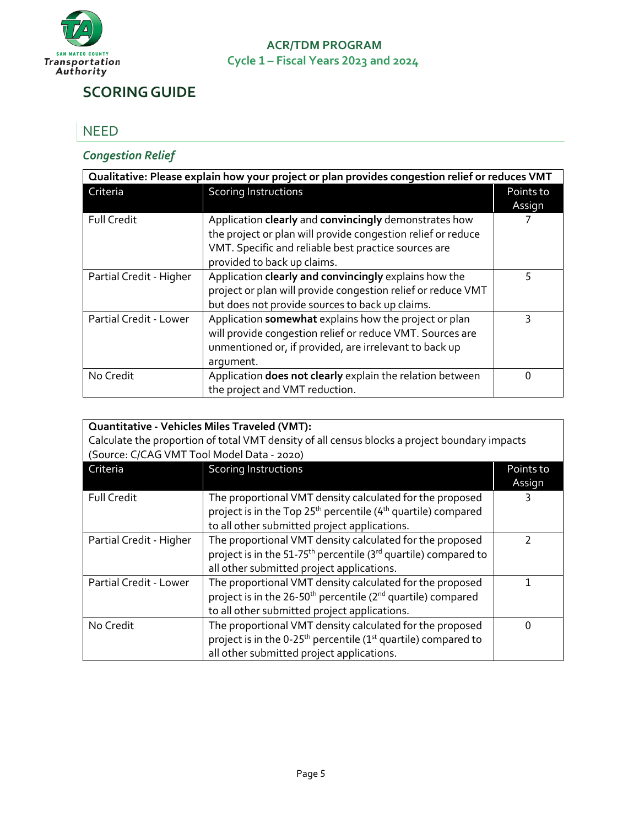

# **SCORINGGUIDE**

#### NEED

#### *Congestion Relief*

| Qualitative: Please explain how your project or plan provides congestion relief or reduces VMT |                                                              |           |
|------------------------------------------------------------------------------------------------|--------------------------------------------------------------|-----------|
| Criteria                                                                                       | <b>Scoring Instructions</b>                                  | Points to |
|                                                                                                |                                                              | Assign    |
| <b>Full Credit</b>                                                                             | Application clearly and convincingly demonstrates how        |           |
|                                                                                                | the project or plan will provide congestion relief or reduce |           |
|                                                                                                | VMT. Specific and reliable best practice sources are         |           |
|                                                                                                | provided to back up claims.                                  |           |
| Partial Credit - Higher                                                                        | Application clearly and convincingly explains how the        | 5         |
|                                                                                                | project or plan will provide congestion relief or reduce VMT |           |
|                                                                                                | but does not provide sources to back up claims.              |           |
| Partial Credit - Lower                                                                         | Application somewhat explains how the project or plan        | ς         |
|                                                                                                | will provide congestion relief or reduce VMT. Sources are    |           |
|                                                                                                | unmentioned or, if provided, are irrelevant to back up       |           |
|                                                                                                | argument.                                                    |           |
| No Credit                                                                                      | Application does not clearly explain the relation between    | ი         |
|                                                                                                | the project and VMT reduction.                               |           |

| <b>Quantitative - Vehicles Miles Traveled (VMT):</b>                                          |                                                                                         |           |
|-----------------------------------------------------------------------------------------------|-----------------------------------------------------------------------------------------|-----------|
| Calculate the proportion of total VMT density of all census blocks a project boundary impacts |                                                                                         |           |
| (Source: C/CAG VMT Tool Model Data - 2020)                                                    |                                                                                         |           |
| Criteria                                                                                      | <b>Scoring Instructions</b>                                                             | Points to |
|                                                                                               |                                                                                         | Assign    |
| <b>Full Credit</b>                                                                            | The proportional VMT density calculated for the proposed                                |           |
|                                                                                               | project is in the Top 25 <sup>th</sup> percentile (4 <sup>th</sup> quartile) compared   |           |
|                                                                                               | to all other submitted project applications.                                            |           |
| Partial Credit - Higher                                                                       | The proportional VMT density calculated for the proposed                                | 7         |
|                                                                                               | project is in the 51-75 <sup>th</sup> percentile (3 <sup>rd</sup> quartile) compared to |           |
|                                                                                               | all other submitted project applications.                                               |           |
| Partial Credit - Lower                                                                        | The proportional VMT density calculated for the proposed                                | 1         |
|                                                                                               | project is in the 26-50 <sup>th</sup> percentile (2 <sup>nd</sup> quartile) compared    |           |
|                                                                                               | to all other submitted project applications.                                            |           |
| No Credit                                                                                     | The proportional VMT density calculated for the proposed                                | 0         |
|                                                                                               | project is in the 0-25 <sup>th</sup> percentile (1 <sup>st</sup> quartile) compared to  |           |
|                                                                                               | all other submitted project applications.                                               |           |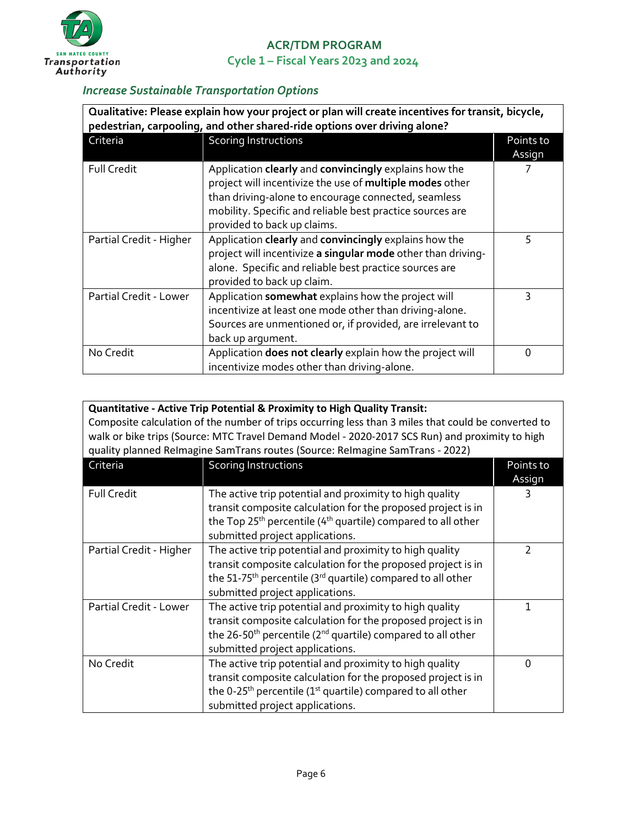

#### *Increase Sustainable Transportation Options*

| Qualitative: Please explain how your project or plan will create incentives for transit, bicycle,<br>pedestrian, carpooling, and other shared-ride options over driving alone? |                                                                                                                                                                                                                                                                      |                     |
|--------------------------------------------------------------------------------------------------------------------------------------------------------------------------------|----------------------------------------------------------------------------------------------------------------------------------------------------------------------------------------------------------------------------------------------------------------------|---------------------|
| Criteria                                                                                                                                                                       | <b>Scoring Instructions</b>                                                                                                                                                                                                                                          | Points to<br>Assign |
| <b>Full Credit</b>                                                                                                                                                             | Application clearly and convincingly explains how the<br>project will incentivize the use of multiple modes other<br>than driving-alone to encourage connected, seamless<br>mobility. Specific and reliable best practice sources are<br>provided to back up claims. |                     |
| Partial Credit - Higher                                                                                                                                                        | Application clearly and convincingly explains how the<br>project will incentivize a singular mode other than driving-<br>alone. Specific and reliable best practice sources are<br>provided to back up claim.                                                        | 5                   |
| Partial Credit - Lower                                                                                                                                                         | Application somewhat explains how the project will<br>incentivize at least one mode other than driving-alone.<br>Sources are unmentioned or, if provided, are irrelevant to<br>back up argument.                                                                     | 3                   |
| No Credit                                                                                                                                                                      | Application does not clearly explain how the project will<br>incentivize modes other than driving-alone.                                                                                                                                                             | 0                   |

| <b>Quantitative - Active Trip Potential &amp; Proximity to High Quality Transit:</b><br>Composite calculation of the number of trips occurring less than 3 miles that could be converted to<br>walk or bike trips (Source: MTC Travel Demand Model - 2020-2017 SCS Run) and proximity to high<br>quality planned Relmagine SamTrans routes (Source: Relmagine SamTrans - 2022) |                                                                                                                                                                                                                                                    |           |  |
|--------------------------------------------------------------------------------------------------------------------------------------------------------------------------------------------------------------------------------------------------------------------------------------------------------------------------------------------------------------------------------|----------------------------------------------------------------------------------------------------------------------------------------------------------------------------------------------------------------------------------------------------|-----------|--|
| Criteria                                                                                                                                                                                                                                                                                                                                                                       | <b>Scoring Instructions</b>                                                                                                                                                                                                                        | Points to |  |
|                                                                                                                                                                                                                                                                                                                                                                                |                                                                                                                                                                                                                                                    | Assign    |  |
| <b>Full Credit</b>                                                                                                                                                                                                                                                                                                                                                             | The active trip potential and proximity to high quality<br>transit composite calculation for the proposed project is in<br>the Top 25 <sup>th</sup> percentile (4 <sup>th</sup> quartile) compared to all other<br>submitted project applications. |           |  |
| Partial Credit - Higher                                                                                                                                                                                                                                                                                                                                                        | The active trip potential and proximity to high quality<br>transit composite calculation for the proposed project is in<br>the 51-75 <sup>th</sup> percentile (3 <sup>rd</sup> quartile) compared to all other<br>submitted project applications.  |           |  |
| Partial Credit - Lower                                                                                                                                                                                                                                                                                                                                                         | The active trip potential and proximity to high quality                                                                                                                                                                                            |           |  |

|           | transit composite calculation for the proposed project is in                                                           |  |
|-----------|------------------------------------------------------------------------------------------------------------------------|--|
|           | the 26-50 <sup>th</sup> percentile (2 <sup>nd</sup> quartile) compared to all other<br>submitted project applications. |  |
|           |                                                                                                                        |  |
| No Credit | The active trip potential and proximity to high quality                                                                |  |
|           | transit composite calculation for the proposed project is in                                                           |  |
|           | the 0-25 <sup>th</sup> percentile (1 <sup>st</sup> quartile) compared to all other                                     |  |
|           | submitted project applications.                                                                                        |  |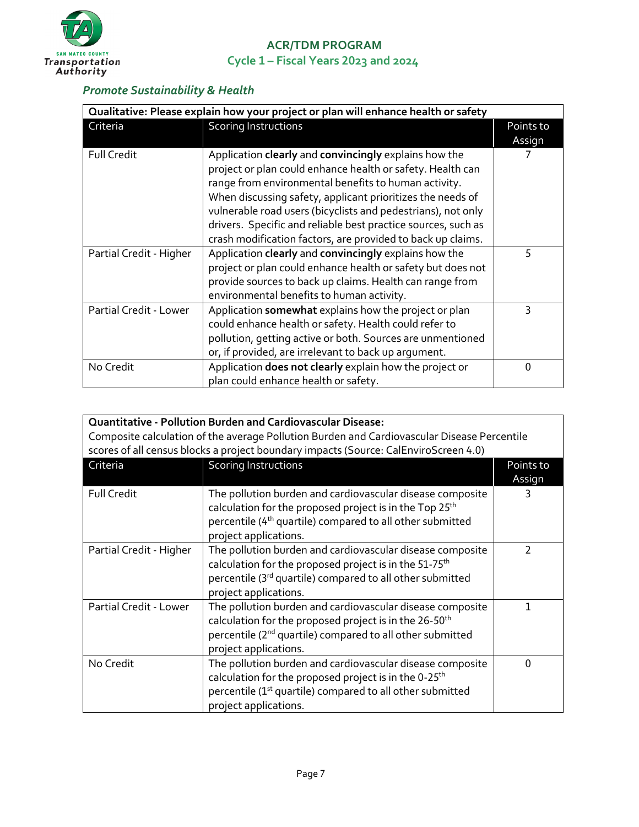

#### *Promote Sustainability & Health*

| Qualitative: Please explain how your project or plan will enhance health or safety |                                                                                                                                                                                                                                                                                                                                                                                                                                           |                     |
|------------------------------------------------------------------------------------|-------------------------------------------------------------------------------------------------------------------------------------------------------------------------------------------------------------------------------------------------------------------------------------------------------------------------------------------------------------------------------------------------------------------------------------------|---------------------|
| Criteria                                                                           | <b>Scoring Instructions</b>                                                                                                                                                                                                                                                                                                                                                                                                               | Points to<br>Assign |
| <b>Full Credit</b>                                                                 | Application clearly and convincingly explains how the<br>project or plan could enhance health or safety. Health can<br>range from environmental benefits to human activity.<br>When discussing safety, applicant prioritizes the needs of<br>vulnerable road users (bicyclists and pedestrians), not only<br>drivers. Specific and reliable best practice sources, such as<br>crash modification factors, are provided to back up claims. |                     |
| Partial Credit - Higher                                                            | Application clearly and convincingly explains how the<br>project or plan could enhance health or safety but does not<br>provide sources to back up claims. Health can range from<br>environmental benefits to human activity.                                                                                                                                                                                                             | 5                   |
| Partial Credit - Lower                                                             | Application somewhat explains how the project or plan<br>could enhance health or safety. Health could refer to<br>pollution, getting active or both. Sources are unmentioned<br>or, if provided, are irrelevant to back up argument.                                                                                                                                                                                                      | 3                   |
| No Credit                                                                          | Application does not clearly explain how the project or<br>plan could enhance health or safety.                                                                                                                                                                                                                                                                                                                                           | 0                   |

| <b>Quantitative - Pollution Burden and Cardiovascular Disease:</b><br>Composite calculation of the average Pollution Burden and Cardiovascular Disease Percentile<br>scores of all census blocks a project boundary impacts (Source: CalEnviroScreen 4.0) |                                                                                                                                                                                                                                    |                     |
|-----------------------------------------------------------------------------------------------------------------------------------------------------------------------------------------------------------------------------------------------------------|------------------------------------------------------------------------------------------------------------------------------------------------------------------------------------------------------------------------------------|---------------------|
| Criteria                                                                                                                                                                                                                                                  | <b>Scoring Instructions</b>                                                                                                                                                                                                        | Points to<br>Assign |
| <b>Full Credit</b>                                                                                                                                                                                                                                        | The pollution burden and cardiovascular disease composite<br>calculation for the proposed project is in the Top 25 <sup>th</sup><br>percentile (4 <sup>th</sup> quartile) compared to all other submitted<br>project applications. |                     |
| Partial Credit - Higher                                                                                                                                                                                                                                   | The pollution burden and cardiovascular disease composite<br>calculation for the proposed project is in the 51-75 <sup>th</sup><br>percentile (3rd quartile) compared to all other submitted<br>project applications.              | 2                   |
| Partial Credit - Lower                                                                                                                                                                                                                                    | The pollution burden and cardiovascular disease composite<br>calculation for the proposed project is in the 26-50 <sup>th</sup><br>percentile (2 <sup>nd</sup> quartile) compared to all other submitted<br>project applications.  | 1                   |
| No Credit                                                                                                                                                                                                                                                 | The pollution burden and cardiovascular disease composite<br>calculation for the proposed project is in the 0-25 <sup>th</sup><br>percentile (1 <sup>st</sup> quartile) compared to all other submitted<br>project applications.   | 0                   |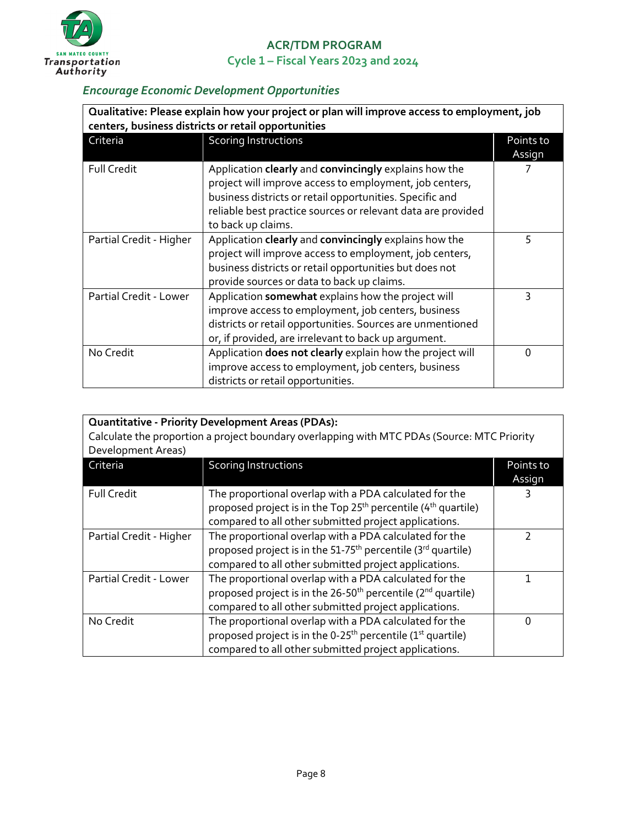

#### *Encourage Economic Development Opportunities*

| Qualitative: Please explain how your project or plan will improve access to employment, job<br>centers, business districts or retail opportunities |                                                                                                                                                                                                                                                                    |                     |
|----------------------------------------------------------------------------------------------------------------------------------------------------|--------------------------------------------------------------------------------------------------------------------------------------------------------------------------------------------------------------------------------------------------------------------|---------------------|
| Criteria                                                                                                                                           | <b>Scoring Instructions</b>                                                                                                                                                                                                                                        | Points to<br>Assign |
| <b>Full Credit</b>                                                                                                                                 | Application clearly and convincingly explains how the<br>project will improve access to employment, job centers,<br>business districts or retail opportunities. Specific and<br>reliable best practice sources or relevant data are provided<br>to back up claims. |                     |
| Partial Credit - Higher                                                                                                                            | Application clearly and convincingly explains how the<br>project will improve access to employment, job centers,<br>business districts or retail opportunities but does not<br>provide sources or data to back up claims.                                          | 5                   |
| Partial Credit - Lower                                                                                                                             | Application somewhat explains how the project will<br>improve access to employment, job centers, business<br>districts or retail opportunities. Sources are unmentioned<br>or, if provided, are irrelevant to back up argument.                                    | 3                   |
| No Credit                                                                                                                                          | Application does not clearly explain how the project will<br>improve access to employment, job centers, business<br>districts or retail opportunities.                                                                                                             | ი                   |

| <b>Quantitative - Priority Development Areas (PDAs):</b>                                    |                                                                                                                                                                                                          |                     |
|---------------------------------------------------------------------------------------------|----------------------------------------------------------------------------------------------------------------------------------------------------------------------------------------------------------|---------------------|
| Calculate the proportion a project boundary overlapping with MTC PDAs (Source: MTC Priority |                                                                                                                                                                                                          |                     |
| Development Areas)                                                                          |                                                                                                                                                                                                          |                     |
| Criteria                                                                                    | <b>Scoring Instructions</b>                                                                                                                                                                              | Points to<br>Assign |
| <b>Full Credit</b>                                                                          | The proportional overlap with a PDA calculated for the<br>proposed project is in the Top 25 <sup>th</sup> percentile (4 <sup>th</sup> quartile)<br>compared to all other submitted project applications. |                     |
| Partial Credit - Higher                                                                     | The proportional overlap with a PDA calculated for the<br>proposed project is in the 51-75 <sup>th</sup> percentile (3 <sup>rd</sup> quartile)<br>compared to all other submitted project applications.  | 7                   |
| Partial Credit - Lower                                                                      | The proportional overlap with a PDA calculated for the<br>proposed project is in the 26-50 <sup>th</sup> percentile (2 <sup>nd</sup> quartile)<br>compared to all other submitted project applications.  |                     |
| No Credit                                                                                   | The proportional overlap with a PDA calculated for the<br>proposed project is in the 0-25 <sup>th</sup> percentile (1 <sup>st</sup> quartile)<br>compared to all other submitted project applications.   | 0                   |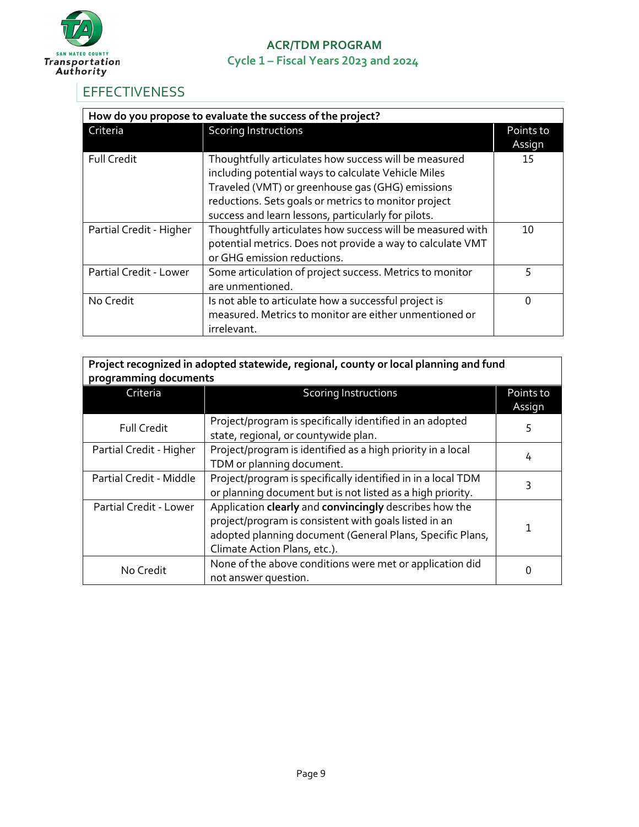

# <span id="page-8-0"></span>**EFFECTIVENESS**

| How do you propose to evaluate the success of the project? |                                                            |           |
|------------------------------------------------------------|------------------------------------------------------------|-----------|
| Criteria                                                   | Scoring Instructions                                       | Points to |
|                                                            |                                                            | Assign    |
| <b>Full Credit</b>                                         | Thoughtfully articulates how success will be measured      | 15        |
|                                                            | including potential ways to calculate Vehicle Miles        |           |
|                                                            | Traveled (VMT) or greenhouse gas (GHG) emissions           |           |
|                                                            | reductions. Sets goals or metrics to monitor project       |           |
|                                                            | success and learn lessons, particularly for pilots.        |           |
| Partial Credit - Higher                                    | Thoughtfully articulates how success will be measured with | 10        |
|                                                            | potential metrics. Does not provide a way to calculate VMT |           |
|                                                            | or GHG emission reductions.                                |           |
| Partial Credit - Lower                                     | Some articulation of project success. Metrics to monitor   | 5         |
|                                                            | are unmentioned.                                           |           |
| No Credit                                                  | Is not able to articulate how a successful project is      | O         |
|                                                            | measured. Metrics to monitor are either unmentioned or     |           |
|                                                            | irrelevant.                                                |           |

| Project recognized in adopted statewide, regional, county or local planning and fund<br>programming documents |                                                                                                                                                                                                              |                     |
|---------------------------------------------------------------------------------------------------------------|--------------------------------------------------------------------------------------------------------------------------------------------------------------------------------------------------------------|---------------------|
| Criteria                                                                                                      | <b>Scoring Instructions</b>                                                                                                                                                                                  | Points to<br>Assign |
| <b>Full Credit</b>                                                                                            | Project/program is specifically identified in an adopted<br>state, regional, or countywide plan.                                                                                                             | 5                   |
| Partial Credit - Higher                                                                                       | Project/program is identified as a high priority in a local<br>TDM or planning document.                                                                                                                     | 4                   |
| Partial Credit - Middle                                                                                       | Project/program is specifically identified in in a local TDM<br>or planning document but is not listed as a high priority.                                                                                   | 3                   |
| Partial Credit - Lower                                                                                        | Application clearly and convincingly describes how the<br>project/program is consistent with goals listed in an<br>adopted planning document (General Plans, Specific Plans,<br>Climate Action Plans, etc.). |                     |
| No Credit                                                                                                     | None of the above conditions were met or application did<br>not answer question.                                                                                                                             |                     |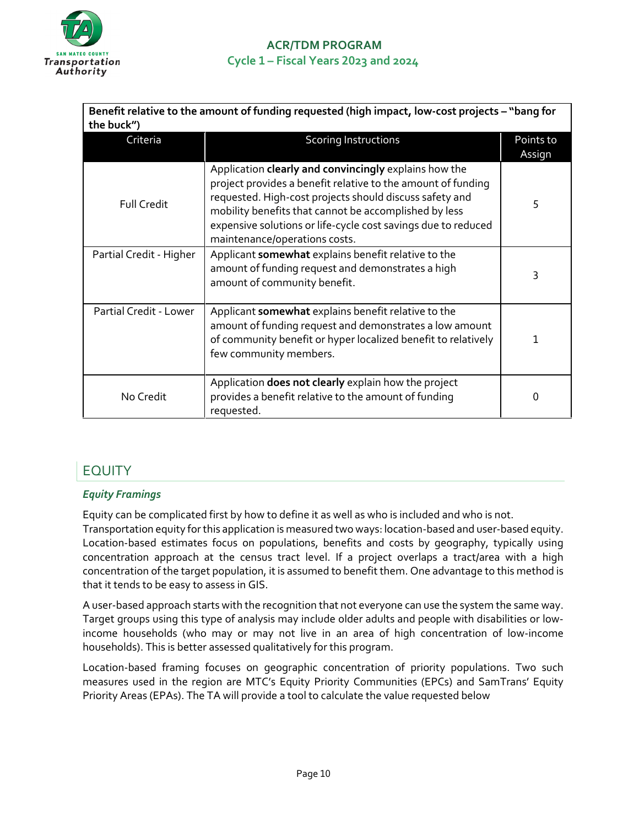

| Benefit relative to the amount of funding requested (high impact, low-cost projects - "bang for |                                                                                                                                                                                                                                                                                                                                             |                     |
|-------------------------------------------------------------------------------------------------|---------------------------------------------------------------------------------------------------------------------------------------------------------------------------------------------------------------------------------------------------------------------------------------------------------------------------------------------|---------------------|
| the buck")                                                                                      |                                                                                                                                                                                                                                                                                                                                             |                     |
| Criteria                                                                                        | <b>Scoring Instructions</b>                                                                                                                                                                                                                                                                                                                 | Points to<br>Assign |
| <b>Full Credit</b>                                                                              | Application clearly and convincingly explains how the<br>project provides a benefit relative to the amount of funding<br>requested. High-cost projects should discuss safety and<br>mobility benefits that cannot be accomplished by less<br>expensive solutions or life-cycle cost savings due to reduced<br>maintenance/operations costs. | 5                   |
| Partial Credit - Higher                                                                         | Applicant somewhat explains benefit relative to the<br>amount of funding request and demonstrates a high<br>amount of community benefit.                                                                                                                                                                                                    | 3                   |
| Partial Credit - Lower                                                                          | Applicant somewhat explains benefit relative to the<br>amount of funding request and demonstrates a low amount<br>of community benefit or hyper localized benefit to relatively<br>few community members.                                                                                                                                   | 1                   |
| No Credit                                                                                       | Application does not clearly explain how the project<br>provides a benefit relative to the amount of funding<br>requested.                                                                                                                                                                                                                  | O                   |

# <span id="page-9-0"></span>EQUITY

#### *Equity Framings*

Equity can be complicated first by how to define it as well as who is included and who is not.

Transportation equity for this application is measured two ways: location-based and user-based equity. Location-based estimates focus on populations, benefits and costs by geography, typically using concentration approach at the census tract level. If a project overlaps a tract/area with a high concentration of the target population, it is assumed to benefit them. One advantage to this method is that it tends to be easy to assess in GIS.

A user-based approach starts with the recognition that not everyone can use the system the same way. Target groups using this type of analysis may include older adults and people with disabilities or lowincome households (who may or may not live in an area of high concentration of low-income households). This is better assessed qualitatively for this program.

Location-based framing focuses on geographic concentration of priority populations. Two such measures used in the region are MTC's Equity Priority Communities (EPCs) and SamTrans' Equity Priority Areas (EPAs). The TA will provide a tool to calculate the value requested below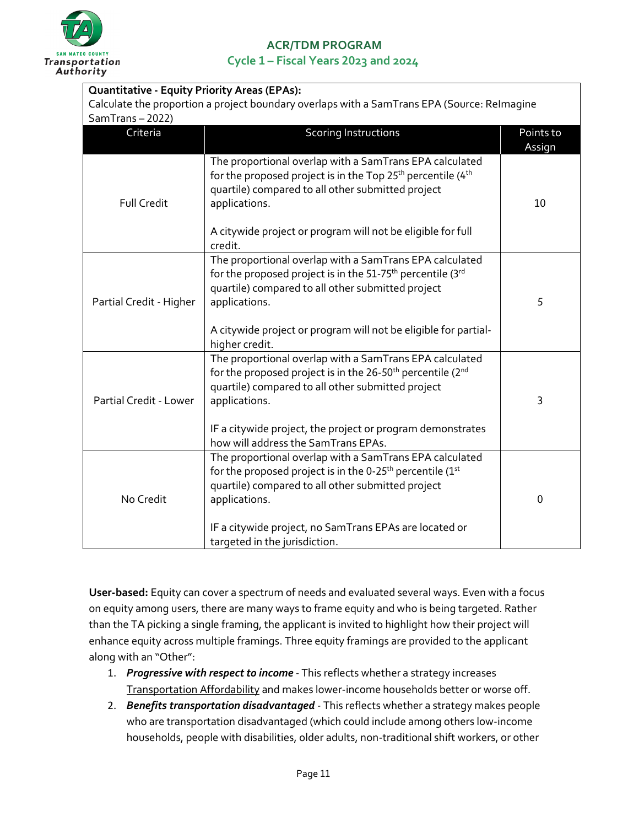

# **ACR/TDM PROGRAM**

**Cycle 1 – Fiscal Years 2023 and 2024** 

| <b>Quantitative - Equity Priority Areas (EPAs):</b>                                                           |                                                                                                                                                                                                                                                                                                                          |                     |
|---------------------------------------------------------------------------------------------------------------|--------------------------------------------------------------------------------------------------------------------------------------------------------------------------------------------------------------------------------------------------------------------------------------------------------------------------|---------------------|
| Calculate the proportion a project boundary overlaps with a SamTrans EPA (Source: Relmagine<br>SamTrans-2022) |                                                                                                                                                                                                                                                                                                                          |                     |
| Criteria                                                                                                      | <b>Scoring Instructions</b>                                                                                                                                                                                                                                                                                              | Points to<br>Assign |
| <b>Full Credit</b>                                                                                            | The proportional overlap with a SamTrans EPA calculated<br>for the proposed project is in the Top $25^{th}$ percentile (4 <sup>th</sup> )<br>quartile) compared to all other submitted project<br>applications.<br>A citywide project or program will not be eligible for full<br>credit.                                | 10                  |
| Partial Credit - Higher                                                                                       | The proportional overlap with a SamTrans EPA calculated<br>for the proposed project is in the 51-75 <sup>th</sup> percentile (3rd<br>quartile) compared to all other submitted project<br>applications.<br>A citywide project or program will not be eligible for partial-<br>higher credit.                             | 5                   |
| Partial Credit - Lower                                                                                        | The proportional overlap with a SamTrans EPA calculated<br>for the proposed project is in the 26-50 <sup>th</sup> percentile (2 <sup>nd</sup><br>quartile) compared to all other submitted project<br>applications.<br>IF a citywide project, the project or program demonstrates<br>how will address the SamTrans EPAs. | 3                   |
| No Credit                                                                                                     | The proportional overlap with a SamTrans EPA calculated<br>for the proposed project is in the 0-25 <sup>th</sup> percentile (1st<br>quartile) compared to all other submitted project<br>applications.<br>IF a citywide project, no SamTrans EPAs are located or<br>targeted in the jurisdiction.                        | $\mathbf 0$         |

**User-based:** Equity can cover a spectrum of needs and evaluated several ways. Even with a focus on equity among users, there are many ways to frame equity and who is being targeted. Rather than the TA picking a single framing, the applicant is invited to highlight how their project will enhance equity across multiple framings. Three equity framings are provided to the applicant along with an "Other":

- 1. *Progressive with respect to income* This reflects whether a strategy increases Transportation Affordability and makes lower-income households better or worse off.
- 2. *Benefits transportation disadvantaged* This reflects whether a strategy makes people who are transportation disadvantaged (which could include among others low-income households, people with disabilities, older adults, non-traditional shift workers, or other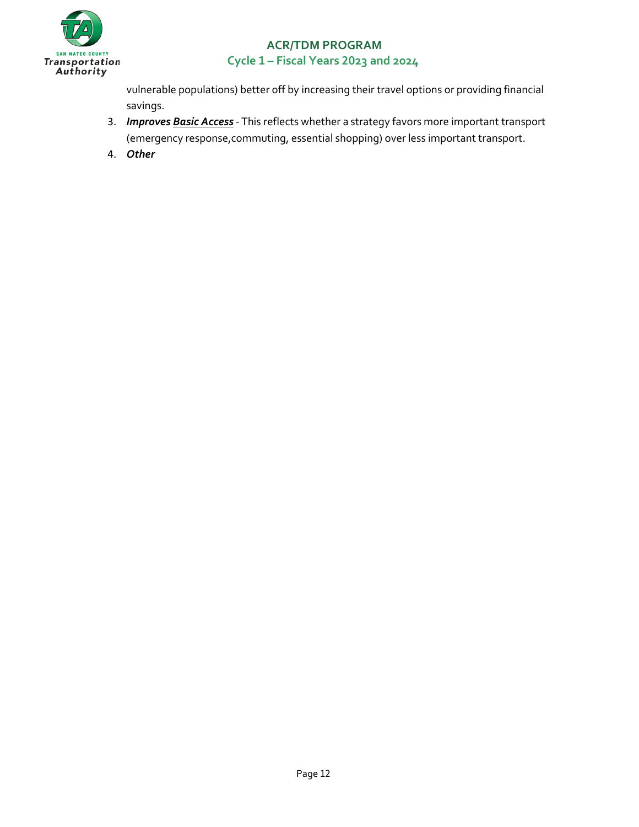

vulnerable populations) better off by increasing their travel options or providing financial savings.

- 3. *Improves Basic Access* This reflects whether a strategy favors more important transport (emergency response,commuting, essential shopping) over less important transport.
- 4. *Other*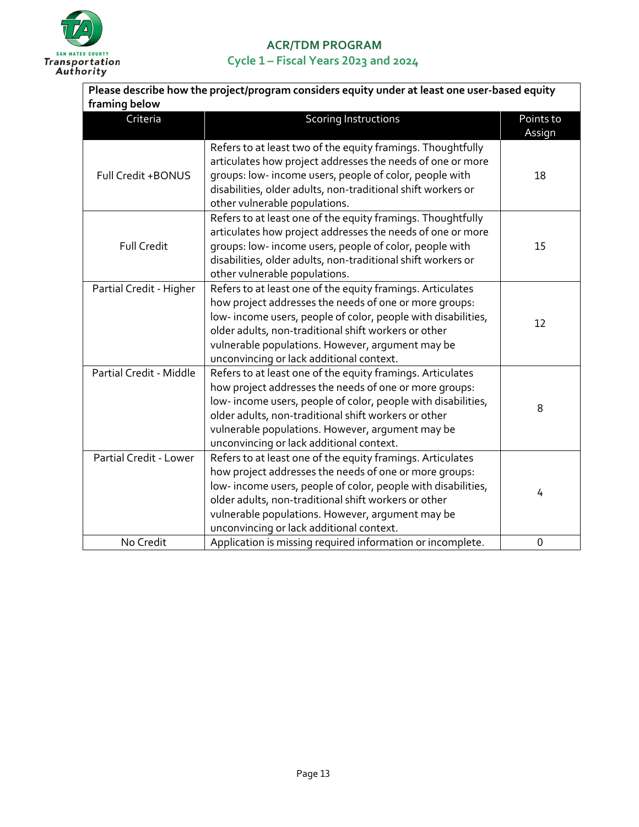

| Please describe how the project/program considers equity under at least one user-based equity |                                                                                                                                                                                                                                                                                                                                              |                     |
|-----------------------------------------------------------------------------------------------|----------------------------------------------------------------------------------------------------------------------------------------------------------------------------------------------------------------------------------------------------------------------------------------------------------------------------------------------|---------------------|
| framing below                                                                                 |                                                                                                                                                                                                                                                                                                                                              |                     |
| Criteria                                                                                      | <b>Scoring Instructions</b>                                                                                                                                                                                                                                                                                                                  | Points to<br>Assign |
| Full Credit +BONUS                                                                            | Refers to at least two of the equity framings. Thoughtfully<br>articulates how project addresses the needs of one or more<br>groups: low- income users, people of color, people with<br>disabilities, older adults, non-traditional shift workers or<br>other vulnerable populations.                                                        | 18                  |
| <b>Full Credit</b>                                                                            | Refers to at least one of the equity framings. Thoughtfully<br>articulates how project addresses the needs of one or more<br>groups: low- income users, people of color, people with<br>disabilities, older adults, non-traditional shift workers or<br>other vulnerable populations.                                                        | 15                  |
| Partial Credit - Higher                                                                       | Refers to at least one of the equity framings. Articulates<br>how project addresses the needs of one or more groups:<br>low-income users, people of color, people with disabilities,<br>older adults, non-traditional shift workers or other<br>vulnerable populations. However, argument may be<br>unconvincing or lack additional context. | 12                  |
| Partial Credit - Middle                                                                       | Refers to at least one of the equity framings. Articulates<br>how project addresses the needs of one or more groups:<br>low-income users, people of color, people with disabilities,<br>older adults, non-traditional shift workers or other<br>vulnerable populations. However, argument may be<br>unconvincing or lack additional context. | 8                   |
| Partial Credit - Lower                                                                        | Refers to at least one of the equity framings. Articulates<br>how project addresses the needs of one or more groups:<br>low-income users, people of color, people with disabilities,<br>older adults, non-traditional shift workers or other<br>vulnerable populations. However, argument may be<br>unconvincing or lack additional context. | 4                   |
| No Credit                                                                                     | Application is missing required information or incomplete.                                                                                                                                                                                                                                                                                   | 0                   |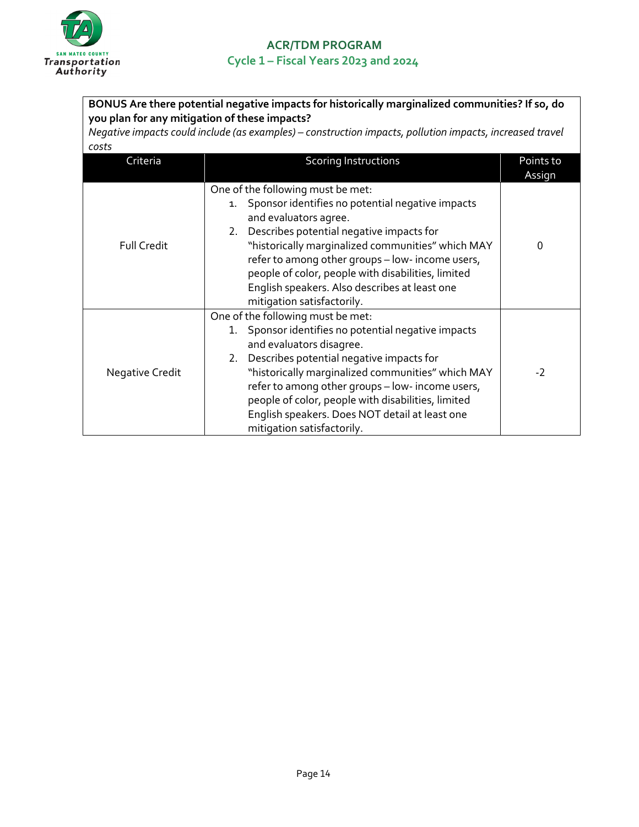

| BONUS Are there potential negative impacts for historically marginalized communities? If so, do                                                           |                                                                                                                                                                                                                                                                                                                                                                                                                    |                     |
|-----------------------------------------------------------------------------------------------------------------------------------------------------------|--------------------------------------------------------------------------------------------------------------------------------------------------------------------------------------------------------------------------------------------------------------------------------------------------------------------------------------------------------------------------------------------------------------------|---------------------|
| you plan for any mitigation of these impacts?<br>Negative impacts could include (as examples) - construction impacts, pollution impacts, increased travel |                                                                                                                                                                                                                                                                                                                                                                                                                    |                     |
| costs<br>Criteria                                                                                                                                         | <b>Scoring Instructions</b>                                                                                                                                                                                                                                                                                                                                                                                        | Points to<br>Assign |
| <b>Full Credit</b>                                                                                                                                        | One of the following must be met:<br>Sponsor identifies no potential negative impacts<br>1.<br>and evaluators agree.<br>2. Describes potential negative impacts for<br>"historically marginalized communities" which MAY<br>refer to among other groups - low- income users,<br>people of color, people with disabilities, limited<br>English speakers. Also describes at least one<br>mitigation satisfactorily.  | $\Omega$            |
| Negative Credit                                                                                                                                           | One of the following must be met:<br>1. Sponsor identifies no potential negative impacts<br>and evaluators disagree.<br>2. Describes potential negative impacts for<br>"historically marginalized communities" which MAY<br>refer to among other groups - low- income users,<br>people of color, people with disabilities, limited<br>English speakers. Does NOT detail at least one<br>mitigation satisfactorily. | $-2$                |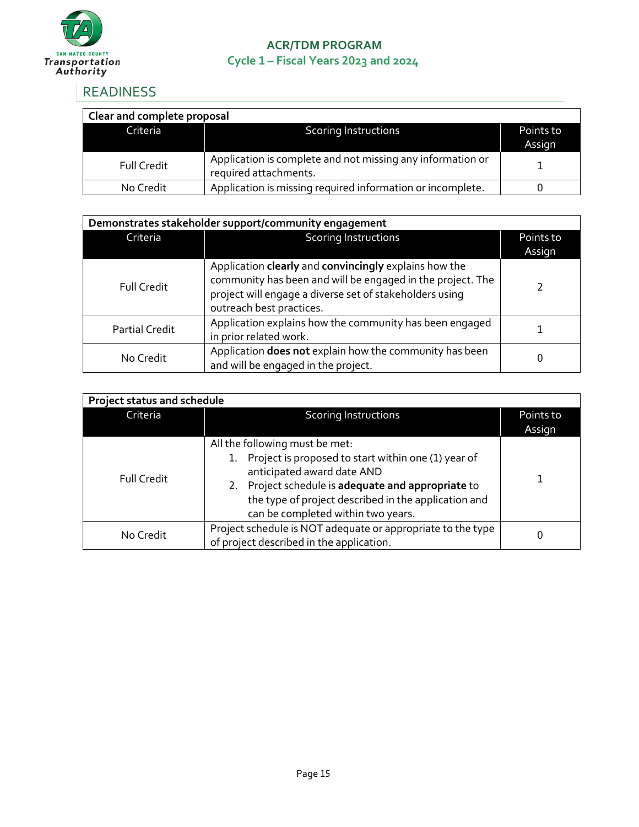

## <span id="page-14-0"></span>READINESS

| Clear and complete proposal |                                                                                     |                     |  |
|-----------------------------|-------------------------------------------------------------------------------------|---------------------|--|
| Criteria <sup>1</sup>       | <b>Scoring Instructions</b>                                                         | Points to<br>Assign |  |
| <b>Full Credit</b>          | Application is complete and not missing any information or<br>required attachments. |                     |  |
| No Credit                   | Application is missing required information or incomplete.                          |                     |  |

| Demonstrates stakeholder support/community engagement |                                                                                                                                                                                                            |                     |
|-------------------------------------------------------|------------------------------------------------------------------------------------------------------------------------------------------------------------------------------------------------------------|---------------------|
| Criteria                                              | <b>Scoring Instructions</b>                                                                                                                                                                                | Points to<br>Assign |
| <b>Full Credit</b>                                    | Application clearly and convincingly explains how the<br>community has been and will be engaged in the project. The<br>project will engage a diverse set of stakeholders using<br>outreach best practices. |                     |
| <b>Partial Credit</b>                                 | Application explains how the community has been engaged<br>in prior related work.                                                                                                                          |                     |
| No Credit                                             | Application does not explain how the community has been<br>and will be engaged in the project.                                                                                                             |                     |

| <b>Project status and schedule</b> |                                                                                                                                                                                                                                                                         |                     |
|------------------------------------|-------------------------------------------------------------------------------------------------------------------------------------------------------------------------------------------------------------------------------------------------------------------------|---------------------|
| Criteria                           | <b>Scoring Instructions</b>                                                                                                                                                                                                                                             | Points to<br>Assign |
| Full Credit                        | All the following must be met:<br>Project is proposed to start within one (1) year of<br>anticipated award date AND<br>2. Project schedule is adequate and appropriate to<br>the type of project described in the application and<br>can be completed within two years. |                     |
| No Credit                          | Project schedule is NOT adequate or appropriate to the type<br>of project described in the application.                                                                                                                                                                 | 0                   |